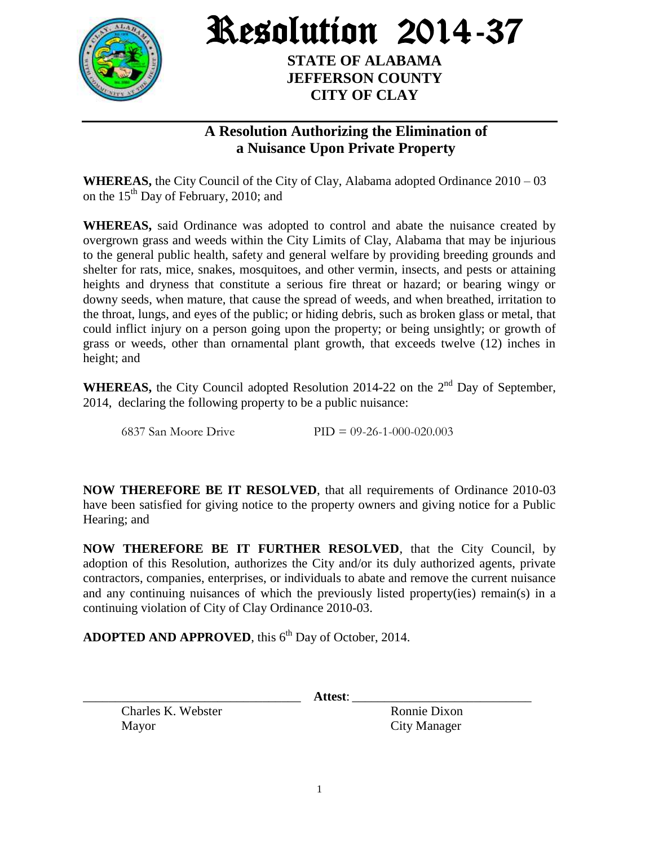

Resolution 2014-37

**STATE OF ALABAMA JEFFERSON COUNTY CITY OF CLAY**

## **A Resolution Authorizing the Elimination of a Nuisance Upon Private Property**

**WHEREAS,** the City Council of the City of Clay, Alabama adopted Ordinance 2010 – 03 on the  $15<sup>th</sup>$  Day of February, 2010; and

**WHEREAS,** said Ordinance was adopted to control and abate the nuisance created by overgrown grass and weeds within the City Limits of Clay, Alabama that may be injurious to the general public health, safety and general welfare by providing breeding grounds and shelter for rats, mice, snakes, mosquitoes, and other vermin, insects, and pests or attaining heights and dryness that constitute a serious fire threat or hazard; or bearing wingy or downy seeds, when mature, that cause the spread of weeds, and when breathed, irritation to the throat, lungs, and eyes of the public; or hiding debris, such as broken glass or metal, that could inflict injury on a person going upon the property; or being unsightly; or growth of grass or weeds, other than ornamental plant growth, that exceeds twelve (12) inches in height; and

**WHEREAS,** the City Council adopted Resolution 2014-22 on the  $2<sup>nd</sup>$  Day of September, 2014, declaring the following property to be a public nuisance:

6837 San Moore Drive PID = 09-26-1-000-020.003

**NOW THEREFORE BE IT RESOLVED**, that all requirements of Ordinance 2010-03 have been satisfied for giving notice to the property owners and giving notice for a Public Hearing; and

**NOW THEREFORE BE IT FURTHER RESOLVED**, that the City Council, by adoption of this Resolution, authorizes the City and/or its duly authorized agents, private contractors, companies, enterprises, or individuals to abate and remove the current nuisance and any continuing nuisances of which the previously listed property(ies) remain(s) in a continuing violation of City of Clay Ordinance 2010-03.

ADOPTED AND APPROVED, this 6<sup>th</sup> Day of October, 2014.

\_\_\_\_\_\_\_\_\_\_\_\_\_\_\_\_\_\_\_\_\_\_\_\_\_\_\_\_\_\_\_\_\_\_ **Attest**: \_\_\_\_\_\_\_\_\_\_\_\_\_\_\_\_\_\_\_\_\_\_\_\_\_\_\_\_

Charles K. Webster Ronnie Dixon Mayor City Manager